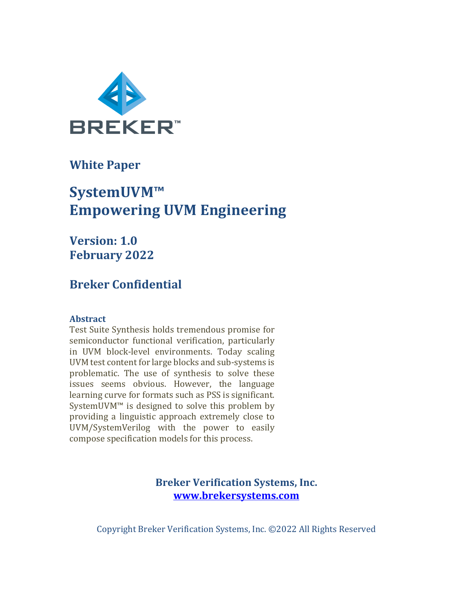

**White Paper** 

# **SystemUVM™ Empowering UVM Engineering**

**Version: 1.0 February 2022**

# **Breker Confidential**

# **Abstract**

Test Suite Synthesis holds tremendous promise for semiconductor functional verification, particularly in UVM block-level environments. Today scaling UVM test content for large blocks and sub-systems is problematic. The use of synthesis to solve these issues seems obvious. However, the language learning curve for formats such as PSS is significant. SystemUVM<sup>™</sup> is designed to solve this problem by providing a linguistic approach extremely close to UVM/SystemVerilog with the power to easily compose specification models for this process.

> **Breker Verification Systems, Inc. www.brekersystems.com**

Copyright Breker Verification Systems, Inc. ©2022 All Rights Reserved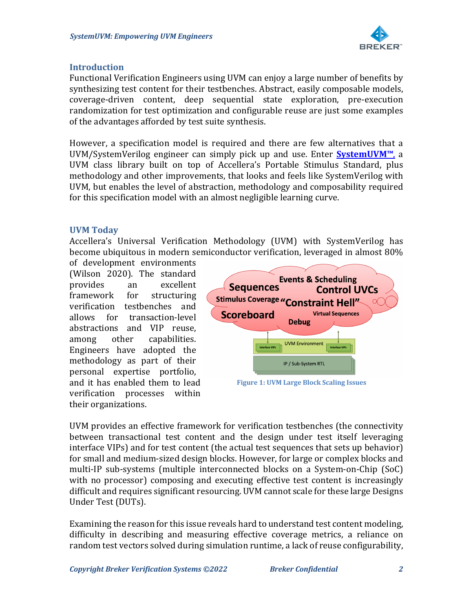

#### **Introduction**

Functional Verification Engineers using UVM can enjoy a large number of benefits by synthesizing test content for their testbenches. Abstract, easily composable models, coverage-driven content, deep sequential state exploration, pre-execution randomization for test optimization and configurable reuse are just some examples of the advantages afforded by test suite synthesis.

However, a specification model is required and there are few alternatives that a UVM/SystemVerilog engineer can simply pick up and use. Enter **SystemUVM™**, a UVM class library built on top of Accellera's Portable Stimulus Standard, plus methodology and other improvements, that looks and feels like SystemVerilog with UVM, but enables the level of abstraction, methodology and composability required for this specification model with an almost negligible learning curve.

#### **UVM Today**

Accellera's Universal Verification Methodology (UVM) with SystemVerilog has become ubiquitous in modern semiconductor verification, leveraged in almost 80%

of development environments (Wilson 2020). The standard provides an excellent framework for structuring verification testbenches and allows for transaction-level abstractions and VIP reuse, among other capabilities. Engineers have adopted the methodology as part of their personal expertise portfolio, and it has enabled them to lead verification processes within their organizations.



UVM provides an effective framework for verification testbenches (the connectivity between transactional test content and the design under test itself leveraging interface VIPs) and for test content (the actual test sequences that sets up behavior) for small and medium-sized design blocks. However, for large or complex blocks and multi-IP sub-systems (multiple interconnected blocks on a System-on-Chip (SoC) with no processor) composing and executing effective test content is increasingly difficult and requires significant resourcing. UVM cannot scale for these large Designs Under Test (DUTs).

Examining the reason for this issue reveals hard to understand test content modeling, difficulty in describing and measuring effective coverage metrics, a reliance on random test vectors solved during simulation runtime, a lack of reuse configurability,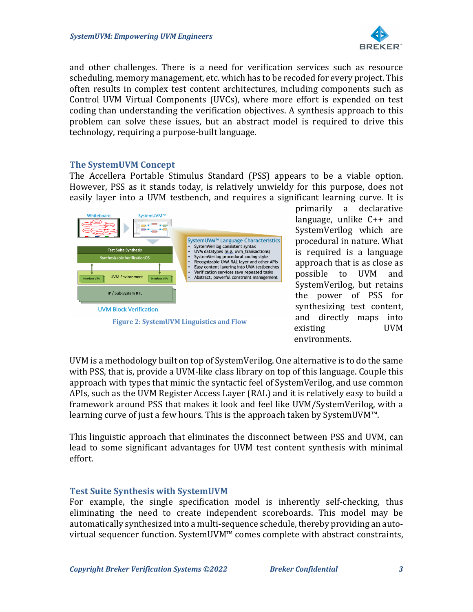

and other challenges. There is a need for verification services such as resource scheduling, memory management, etc. which has to be recoded for every project. This often results in complex test content architectures, including components such as Control UVM Virtual Components (UVCs), where more effort is expended on test coding than understanding the verification objectives. A synthesis approach to this problem can solve these issues, but an abstract model is required to drive this technology, requiring a purpose-built language.

## **The SystemUVM Concept**

The Accellera Portable Stimulus Standard (PSS) appears to be a viable option. However, PSS as it stands today, is relatively unwieldy for this purpose, does not easily layer into a UVM testbench, and requires a significant learning curve. It is



primarily a declarative language, unlike  $C++$  and SystemVerilog which are procedural in nature. What is required is a language approach that is as close as possible to UVM and SystemVerilog, but retains the power of PSS for synthesizing test content, and directly maps into existing UVM environments.

UVM is a methodology built on top of SystemVerilog. One alternative is to do the same with PSS, that is, provide a UVM-like class library on top of this language. Couple this approach with types that mimic the syntactic feel of SystemVerilog, and use common APIs, such as the UVM Register Access Layer (RAL) and it is relatively easy to build a framework around PSS that makes it look and feel like UVM/SystemVerilog, with a learning curve of just a few hours. This is the approach taken by SystemUVM<sup>™</sup>.

This linguistic approach that eliminates the disconnect between PSS and UVM, can lead to some significant advantages for UVM test content synthesis with minimal effort.

#### **Test Suite Synthesis with SystemUVM**

For example, the single specification model is inherently self-checking, thus eliminating the need to create independent scoreboards. This model may be automatically synthesized into a multi-sequence schedule, thereby providing an autovirtual sequencer function. SystemUVM<sup>™</sup> comes complete with abstract constraints,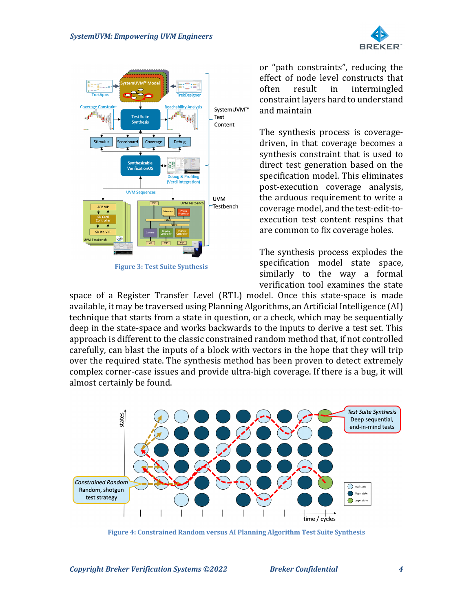



or "path constraints", reducing the effect of node level constructs that often result in intermingled constraint layers hard to understand and maintain

The synthesis process is coveragedriven, in that coverage becomes a synthesis constraint that is used to direct test generation based on the specification model. This eliminates post-execution coverage analysis, the arduous requirement to write a coverage model, and the test-edit-toexecution test content respins that are common to fix coverage holes.

The synthesis process explodes the specification model state space, similarly to the way a formal verification tool examines the state

space of a Register Transfer Level (RTL) model. Once this state-space is made available, it may be traversed using Planning Algorithms, an Artificial Intelligence (AI) technique that starts from a state in question, or a check, which may be sequentially deep in the state-space and works backwards to the inputs to derive a test set. This approach is different to the classic constrained random method that, if not controlled carefully, can blast the inputs of a block with vectors in the hope that they will trip over the required state. The synthesis method has been proven to detect extremely complex corner-case issues and provide ultra-high coverage. If there is a bug, it will almost certainly be found.



**Figure 4: Constrained Random versus AI Planning Algorithm Test Suite Synthesis**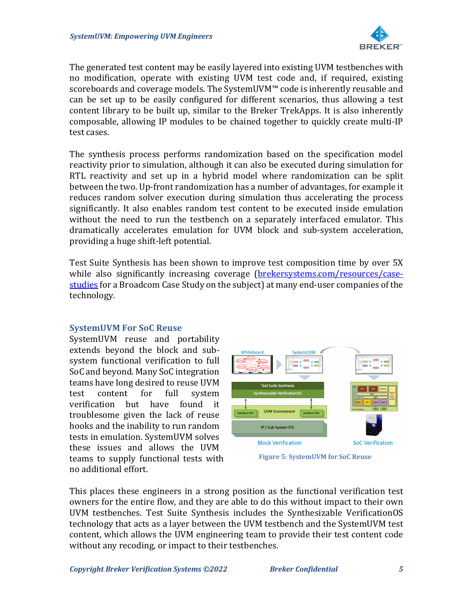

The generated test content may be easily layered into existing UVM testbenches with no modification, operate with existing UVM test code and, if required, existing scoreboards and coverage models. The SystemUVM™ code is inherently reusable and can be set up to be easily configured for different scenarios, thus allowing a test content library to be built up, similar to the Breker TrekApps. It is also inherently composable, allowing IP modules to be chained together to quickly create multi-IP test cases.

The synthesis process performs randomization based on the specification model reactivity prior to simulation, although it can also be executed during simulation for RTL reactivity and set up in a hybrid model where randomization can be split between the two. Up-front randomization has a number of advantages, for example it reduces random solver execution during simulation thus accelerating the process significantly. It also enables random test content to be executed inside emulation without the need to run the testbench on a separately interfaced emulator. This dramatically accelerates emulation for UVM block and sub-system acceleration, providing a huge shift-left potential.

Test Suite Synthesis has been shown to improve test composition time by over 5X while also significantly increasing coverage (brekersystems.com/resources/casestudies for a Broadcom Case Study on the subject) at many end-user companies of the technology.

## **SystemUVM For SoC Reuse**

SystemUVM reuse and portability extends beyond the block and subsystem functional verification to full SoC and beyond. Many SoC integration teams have long desired to reuse UVM test content for full system verification but have found it troublesome given the lack of reuse hooks and the inability to run random tests in emulation. SystemUVM solves these issues and allows the UVM teams to supply functional tests with no additional effort. 



**Figure 5: SystemUVM for SoC Reuse** 

This places these engineers in a strong position as the functional verification test owners for the entire flow, and they are able to do this without impact to their own UVM testbenches. Test Suite Synthesis includes the Synthesizable VerificationOS technology that acts as a layer between the UVM testbench and the SystemUVM test content, which allows the UVM engineering team to provide their test content code without any recoding, or impact to their testbenches.